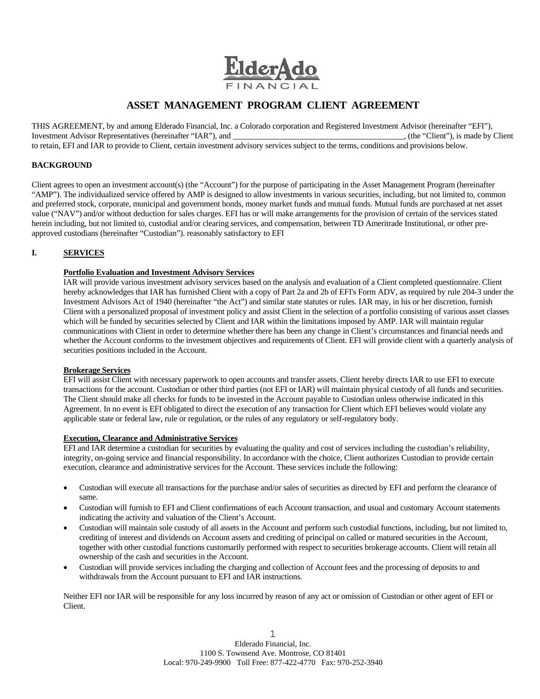

# **ASSET MANAGEMENT PROGRAM CLIENT AGREEMENT**

THIS AGREEMENT, by and among Elderado Financial, Inc. a Colorado corporation and Registered Investment Advisor (hereinafter "EFI"), Investment Advisor Representatives (hereinafter "IAR"), and Investment Advisor Representatives (hereinafter "IAR"), and to retain, EFI and IAR to provide to Client, certain investment advisory services subject to the terms, conditions and provisions below.

# **BACKGROUND**

Client agrees to open an investment account(s) (the "Account") for the purpose of participating in the Asset Management Program (hereinafter "AMP"). The individualized service offered by AMP is designed to allow investments in various securities, including, but not limited to, common and preferred stock, corporate, municipal and government bonds, money market funds and mutual funds. Mutual funds are purchased at net asset value ("NAV") and/or without deduction for sales charges. EFI has or will make arrangements for the provision of certain of the services stated herein including, but not limited to, custodial and/or clearing services, and compensation, between TD Ameritrade Institutional, or other preapproved custodians (hereinafter "Custodian"). reasonably satisfactory to EFI

# **I. SERVICES**

## **Portfolio Evaluation and Investment Advisory Services**

IAR will provide various investment advisory services based on the analysis and evaluation of a Client completed questionnaire. Client hereby acknowledges that IAR has furnished Client with a copy of Part 2a and 2b of EFI's Form ADV, as required by rule 204-3 under the Investment Advisors Act of 1940 (hereinafter "the Act") and similar state statutes or rules. IAR may, in his or her discretion, furnish Client with a personalized proposal of investment policy and assist Client in the selection of a portfolio consisting of various asset classes which will be funded by securities selected by Client and IAR within the limitations imposed by AMP. IAR will maintain regular communications with Client in order to determine whether there has been any change in Client's circumstances and financial needs and whether the Account conforms to the investment objectives and requirements of Client. EFI will provide client with a quarterly analysis of securities positions included in the Account.

## **Brokerage Services**

EFI will assist Client with necessary paperwork to open accounts and transfer assets. Client hereby directs IAR to use EFI to execute transactions for the account. Custodian or other third parties (not EFI or IAR) will maintain physical custody of all funds and securities. The Client should make all checks for funds to be invested in the Account payable to Custodian unless otherwise indicated in this Agreement. In no event is EFI obligated to direct the execution of any transaction for Client which EFI believes would violate any applicable state or federal law, rule or regulation, or the rules of any regulatory or self-regulatory body.

## **Execution, Clearance and Administrative Services**

EFI and IAR determine a custodian for securities by evaluating the quality and cost of services including the custodian's reliability, integrity, on-going service and financial responsibility. In accordance with the choice, Client authorizes Custodian to provide certain execution, clearance and administrative services for the Account. These services include the following:

- Custodian will execute all transactions for the purchase and/or sales of securities as directed by EFI and perform the clearance of same.
- Custodian will furnish to EFI and Client confirmations of each Account transaction, and usual and customary Account statements indicating the activity and valuation of the Client's Account.
- Custodian will maintain sole custody of all assets in the Account and perform such custodial functions, including, but not limited to, crediting of interest and dividends on Account assets and crediting of principal on called or matured securities in the Account, together with other custodial functions customarily performed with respect to securities brokerage accounts. Client will retain all ownership of the cash and securities in the Account.
- Custodian will provide services including the charging and collection of Account fees and the processing of deposits to and withdrawals from the Account pursuant to EFI and IAR instructions.

Neither EFI nor IAR will be responsible for any loss incurred by reason of any act or omission of Custodian or other agent of EFI or Client.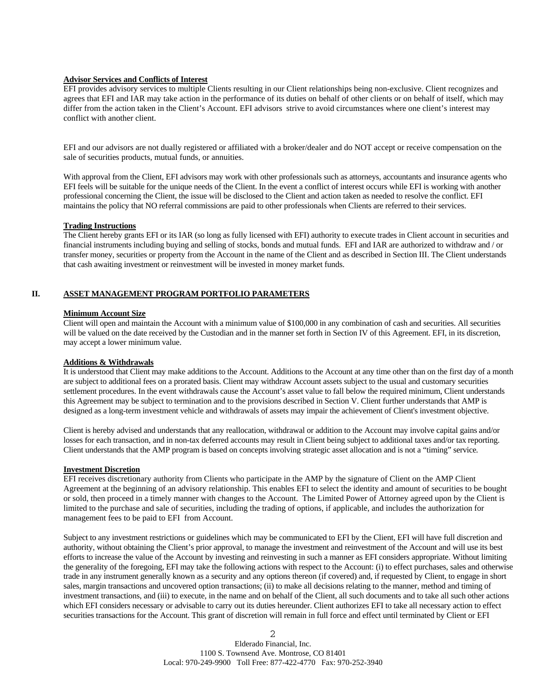## **Advisor Services and Conflicts of Interest**

EFI provides advisory services to multiple Clients resulting in our Client relationships being non-exclusive. Client recognizes and agrees that EFI and IAR may take action in the performance of its duties on behalf of other clients or on behalf of itself, which may differ from the action taken in the Client's Account. EFI advisors strive to avoid circumstances where one client's interest may conflict with another client.

EFI and our advisors are not dually registered or affiliated with a broker/dealer and do NOT accept or receive compensation on the sale of securities products, mutual funds, or annuities.

With approval from the Client, EFI advisors may work with other professionals such as attorneys, accountants and insurance agents who EFI feels will be suitable for the unique needs of the Client. In the event a conflict of interest occurs while EFI is working with another professional concerning the Client, the issue will be disclosed to the Client and action taken as needed to resolve the conflict. EFI maintains the policy that NO referral commissions are paid to other professionals when Clients are referred to their services.

#### **Trading Instructions**

The Client hereby grants EFI or its IAR (so long as fully licensed with EFI) authority to execute trades in Client account in securities and financial instruments including buying and selling of stocks, bonds and mutual funds. EFI and IAR are authorized to withdraw and / or transfer money, securities or property from the Account in the name of the Client and as described in Section III. The Client understands that cash awaiting investment or reinvestment will be invested in money market funds.

## **II. ASSET MANAGEMENT PROGRAM PORTFOLIO PARAMETERS**

### **Minimum Account Size**

Client will open and maintain the Account with a minimum value of \$100,000 in any combination of cash and securities. All securities will be valued on the date received by the Custodian and in the manner set forth in Section IV of this Agreement. EFI, in its discretion, may accept a lower minimum value.

## **Additions & Withdrawals**

It is understood that Client may make additions to the Account. Additions to the Account at any time other than on the first day of a month are subject to additional fees on a prorated basis. Client may withdraw Account assets subject to the usual and customary securities settlement procedures. In the event withdrawals cause the Account's asset value to fall below the required minimum, Client understands this Agreement may be subject to termination and to the provisions described in Section V. Client further understands that AMP is designed as a long-term investment vehicle and withdrawals of assets may impair the achievement of Client's investment objective.

Client is hereby advised and understands that any reallocation, withdrawal or addition to the Account may involve capital gains and/or losses for each transaction, and in non-tax deferred accounts may result in Client being subject to additional taxes and/or tax reporting. Client understands that the AMP program is based on concepts involving strategic asset allocation and is not a "timing" service.

## **Investment Discretion**

EFI receives discretionary authority from Clients who participate in the AMP by the signature of Client on the AMP Client Agreement at the beginning of an advisory relationship. This enables EFI to select the identity and amount of securities to be bought or sold, then proceed in a timely manner with changes to the Account. The Limited Power of Attorney agreed upon by the Client is limited to the purchase and sale of securities, including the trading of options, if applicable, and includes the authorization for management fees to be paid to EFI from Account.

Subject to any investment restrictions or guidelines which may be communicated to EFI by the Client, EFI will have full discretion and authority, without obtaining the Client's prior approval, to manage the investment and reinvestment of the Account and will use its best efforts to increase the value of the Account by investing and reinvesting in such a manner as EFI considers appropriate. Without limiting the generality of the foregoing, EFI may take the following actions with respect to the Account: (i) to effect purchases, sales and otherwise trade in any instrument generally known as a security and any options thereon (if covered) and, if requested by Client, to engage in short sales, margin transactions and uncovered option transactions; (ii) to make all decisions relating to the manner, method and timing of investment transactions, and (iii) to execute, in the name and on behalf of the Client, all such documents and to take all such other actions which EFI considers necessary or advisable to carry out its duties hereunder. Client authorizes EFI to take all necessary action to effect securities transactions for the Account. This grant of discretion will remain in full force and effect until terminated by Client or EFI

> 2 Elderado Financial, Inc. 1100 S. Townsend Ave. Montrose, CO 81401 Local: 970-249-9900 Toll Free: 877-422-4770 Fax: 970-252-3940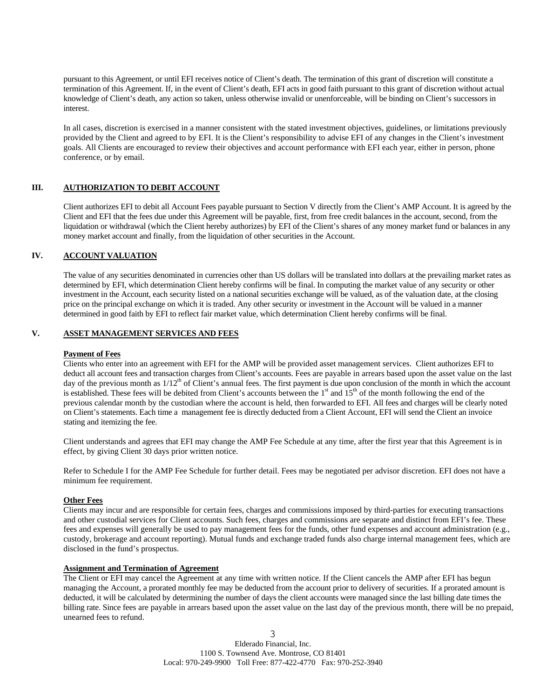pursuant to this Agreement, or until EFI receives notice of Client's death. The termination of this grant of discretion will constitute a termination of this Agreement. If, in the event of Client's death, EFI acts in good faith pursuant to this grant of discretion without actual knowledge of Client's death, any action so taken, unless otherwise invalid or unenforceable, will be binding on Client's successors in interest.

In all cases, discretion is exercised in a manner consistent with the stated investment objectives, guidelines, or limitations previously provided by the Client and agreed to by EFI. It is the Client's responsibility to advise EFI of any changes in the Client's investment goals. All Clients are encouraged to review their objectives and account performance with EFI each year, either in person, phone conference, or by email.

# **III. AUTHORIZATION TO DEBIT ACCOUNT**

Client authorizes EFI to debit all Account Fees payable pursuant to Section V directly from the Client's AMP Account. It is agreed by the Client and EFI that the fees due under this Agreement will be payable, first, from free credit balances in the account, second, from the liquidation or withdrawal (which the Client hereby authorizes) by EFI of the Client's shares of any money market fund or balances in any money market account and finally, from the liquidation of other securities in the Account.

## **IV. ACCOUNT VALUATION**

The value of any securities denominated in currencies other than US dollars will be translated into dollars at the prevailing market rates as determined by EFI, which determination Client hereby confirms will be final. In computing the market value of any security or other investment in the Account, each security listed on a national securities exchange will be valued, as of the valuation date, at the closing price on the principal exchange on which it is traded. Any other security or investment in the Account will be valued in a manner determined in good faith by EFI to reflect fair market value, which determination Client hereby confirms will be final.

## **V. ASSET MANAGEMENT SERVICES AND FEES**

## **Payment of Fees**

Clients who enter into an agreement with EFI for the AMP will be provided asset management services. Client authorizes EFI to deduct all account fees and transaction charges from Client's accounts. Fees are payable in arrears based upon the asset value on the last day of the previous month as  $1/12<sup>th</sup>$  of Client's annual fees. The first payment is due upon conclusion of the month in which the account is established. These fees will be debited from Client's accounts between the  $1<sup>st</sup>$  and  $15<sup>th</sup>$  of the month following the end of the previous calendar month by the custodian where the account is held, then forwarded to EFI. All fees and charges will be clearly noted on Client's statements. Each time a management fee is directly deducted from a Client Account, EFI will send the Client an invoice stating and itemizing the fee.

Client understands and agrees that EFI may change the AMP Fee Schedule at any time, after the first year that this Agreement is in effect, by giving Client 30 days prior written notice.

Refer to Schedule I for the AMP Fee Schedule for further detail. Fees may be negotiated per advisor discretion. EFI does not have a minimum fee requirement.

## **Other Fees**

Clients may incur and are responsible for certain fees, charges and commissions imposed by third-parties for executing transactions and other custodial services for Client accounts. Such fees, charges and commissions are separate and distinct from EFI's fee. These fees and expenses will generally be used to pay management fees for the funds, other fund expenses and account administration (e.g., custody, brokerage and account reporting). Mutual funds and exchange traded funds also charge internal management fees, which are disclosed in the fund's prospectus.

# **Assignment and Termination of Agreement**

The Client or EFI may cancel the Agreement at any time with written notice. If the Client cancels the AMP after EFI has begun managing the Account, a prorated monthly fee may be deducted from the account prior to delivery of securities. If a prorated amount is deducted, it will be calculated by determining the number of days the client accounts were managed since the last billing date times the billing rate. Since fees are payable in arrears based upon the asset value on the last day of the previous month, there will be no prepaid, unearned fees to refund.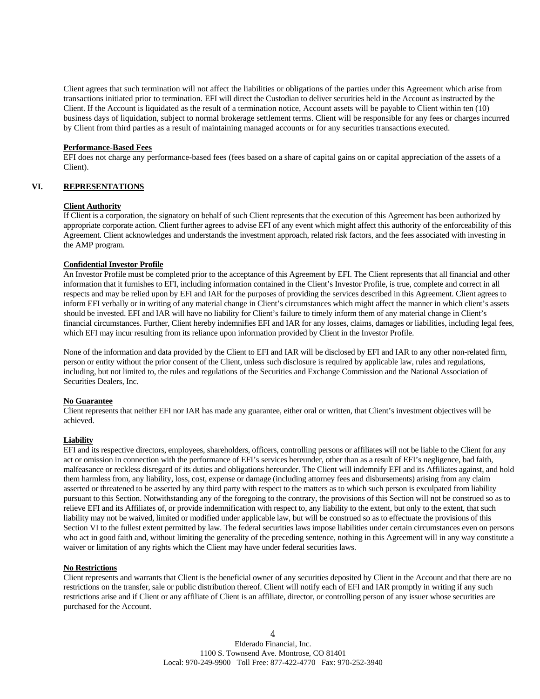Client agrees that such termination will not affect the liabilities or obligations of the parties under this Agreement which arise from transactions initiated prior to termination. EFI will direct the Custodian to deliver securities held in the Account as instructed by the Client. If the Account is liquidated as the result of a termination notice, Account assets will be payable to Client within ten (10) business days of liquidation, subject to normal brokerage settlement terms. Client will be responsible for any fees or charges incurred by Client from third parties as a result of maintaining managed accounts or for any securities transactions executed.

## **Performance-Based Fees**

EFI does not charge any performance-based fees (fees based on a share of capital gains on or capital appreciation of the assets of a Client).

## **VI. REPRESENTATIONS**

#### **Client Authority**

If Client is a corporation, the signatory on behalf of such Client represents that the execution of this Agreement has been authorized by appropriate corporate action. Client further agrees to advise EFI of any event which might affect this authority of the enforceability of this Agreement. Client acknowledges and understands the investment approach, related risk factors, and the fees associated with investing in the AMP program.

#### **Confidential Investor Profile**

An Investor Profile must be completed prior to the acceptance of this Agreement by EFI. The Client represents that all financial and other information that it furnishes to EFI, including information contained in the Client's Investor Profile, is true, complete and correct in all respects and may be relied upon by EFI and IAR for the purposes of providing the services described in this Agreement. Client agrees to inform EFI verbally or in writing of any material change in Client's circumstances which might affect the manner in which client's assets should be invested. EFI and IAR will have no liability for Client's failure to timely inform them of any material change in Client's financial circumstances. Further, Client hereby indemnifies EFI and IAR for any losses, claims, damages or liabilities, including legal fees, which EFI may incur resulting from its reliance upon information provided by Client in the Investor Profile.

None of the information and data provided by the Client to EFI and IAR will be disclosed by EFI and IAR to any other non-related firm, person or entity without the prior consent of the Client, unless such disclosure is required by applicable law, rules and regulations, including, but not limited to, the rules and regulations of the Securities and Exchange Commission and the National Association of Securities Dealers, Inc.

## **No Guarantee**

Client represents that neither EFI nor IAR has made any guarantee, either oral or written, that Client's investment objectives will be achieved.

## **Liability**

EFI and its respective directors, employees, shareholders, officers, controlling persons or affiliates will not be liable to the Client for any act or omission in connection with the performance of EFI's services hereunder, other than as a result of EFI's negligence, bad faith, malfeasance or reckless disregard of its duties and obligations hereunder. The Client will indemnify EFI and its Affiliates against, and hold them harmless from, any liability, loss, cost, expense or damage (including attorney fees and disbursements) arising from any claim asserted or threatened to be asserted by any third party with respect to the matters as to which such person is exculpated from liability pursuant to this Section. Notwithstanding any of the foregoing to the contrary, the provisions of this Section will not be construed so as to relieve EFI and its Affiliates of, or provide indemnification with respect to, any liability to the extent, but only to the extent, that such liability may not be waived, limited or modified under applicable law, but will be construed so as to effectuate the provisions of this Section VI to the fullest extent permitted by law. The federal securities laws impose liabilities under certain circumstances even on persons who act in good faith and, without limiting the generality of the preceding sentence, nothing in this Agreement will in any way constitute a waiver or limitation of any rights which the Client may have under federal securities laws.

## **No Restrictions**

Client represents and warrants that Client is the beneficial owner of any securities deposited by Client in the Account and that there are no restrictions on the transfer, sale or public distribution thereof. Client will notify each of EFI and IAR promptly in writing if any such restrictions arise and if Client or any affiliate of Client is an affiliate, director, or controlling person of any issuer whose securities are purchased for the Account.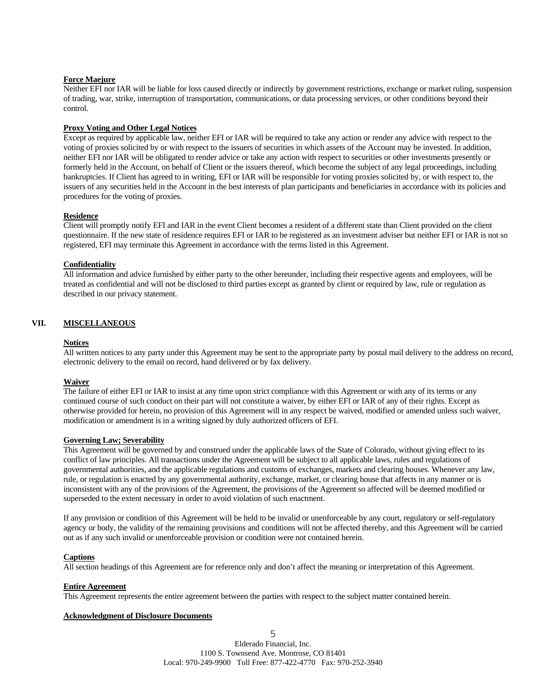## **Force Maejure**

Neither EFI nor IAR will be liable for loss caused directly or indirectly by government restrictions, exchange or market ruling, suspension of trading, war, strike, interruption of transportation, communications, or data processing services, or other conditions beyond their control.

#### **Proxy Voting and Other Legal Notices**

Except as required by applicable law, neither EFI or IAR will be required to take any action or render any advice with respect to the voting of proxies solicited by or with respect to the issuers of securities in which assets of the Account may be invested. In addition, neither EFI nor IAR will be obligated to render advice or take any action with respect to securities or other investments presently or formerly held in the Account, on behalf of Client or the issuers thereof, which become the subject of any legal proceedings, including bankruptcies. If Client has agreed to in writing, EFI or IAR will be responsible for voting proxies solicited by, or with respect to, the issuers of any securities held in the Account in the best interests of plan participants and beneficiaries in accordance with its policies and procedures for the voting of proxies.

#### **Residence**

Client will promptly notify EFI and IAR in the event Client becomes a resident of a different state than Client provided on the client questionnaire. If the new state of residence requires EFI or IAR to be registered as an investment adviser but neither EFI or IAR is not so registered, EFI may terminate this Agreement in accordance with the terms listed in this Agreement.

#### **Confidentiality**

All information and advice furnished by either party to the other hereunder, including their respective agents and employees, will be treated as confidential and will not be disclosed to third parties except as granted by client or required by law, rule or regulation as described in our privacy statement.

# **VII. MISCELLANEOUS**

## **Notices**

All written notices to any party under this Agreement may be sent to the appropriate party by postal mail delivery to the address on record, electronic delivery to the email on record, hand delivered or by fax delivery.

#### **Waiver**

The failure of either EFI or IAR to insist at any time upon strict compliance with this Agreement or with any of its terms or any continued course of such conduct on their part will not constitute a waiver, by either EFI or IAR of any of their rights. Except as otherwise provided for herein, no provision of this Agreement will in any respect be waived, modified or amended unless such waiver, modification or amendment is in a writing signed by duly authorized officers of EFI.

#### **Governing Law; Severability**

This Agreement will be governed by and construed under the applicable laws of the State of Colorado, without giving effect to its conflict of law principles. All transactions under the Agreement will be subject to all applicable laws, rules and regulations of governmental authorities, and the applicable regulations and customs of exchanges, markets and clearing houses. Whenever any law, rule, or regulation is enacted by any governmental authority, exchange, market, or clearing house that affects in any manner or is inconsistent with any of the provisions of the Agreement, the provisions of the Agreement so affected will be deemed modified or superseded to the extent necessary in order to avoid violation of such enactment.

If any provision or condition of this Agreement will be held to be invalid or unenforceable by any court, regulatory or self-regulatory agency or body, the validity of the remaining provisions and conditions will not be affected thereby, and this Agreement will be carried out as if any such invalid or unenforceable provision or condition were not contained herein.

#### **Captions**

All section headings of this Agreement are for reference only and don't affect the meaning or interpretation of this Agreement.

#### **Entire Agreement**

This Agreement represents the entire agreement between the parties with respect to the subject matter contained herein.

#### **Acknowledgment of Disclosure Documents**

5 Elderado Financial, Inc. 1100 S. Townsend Ave. Montrose, CO 81401 Local: 970-249-9900 Toll Free: 877-422-4770 Fax: 970-252-3940